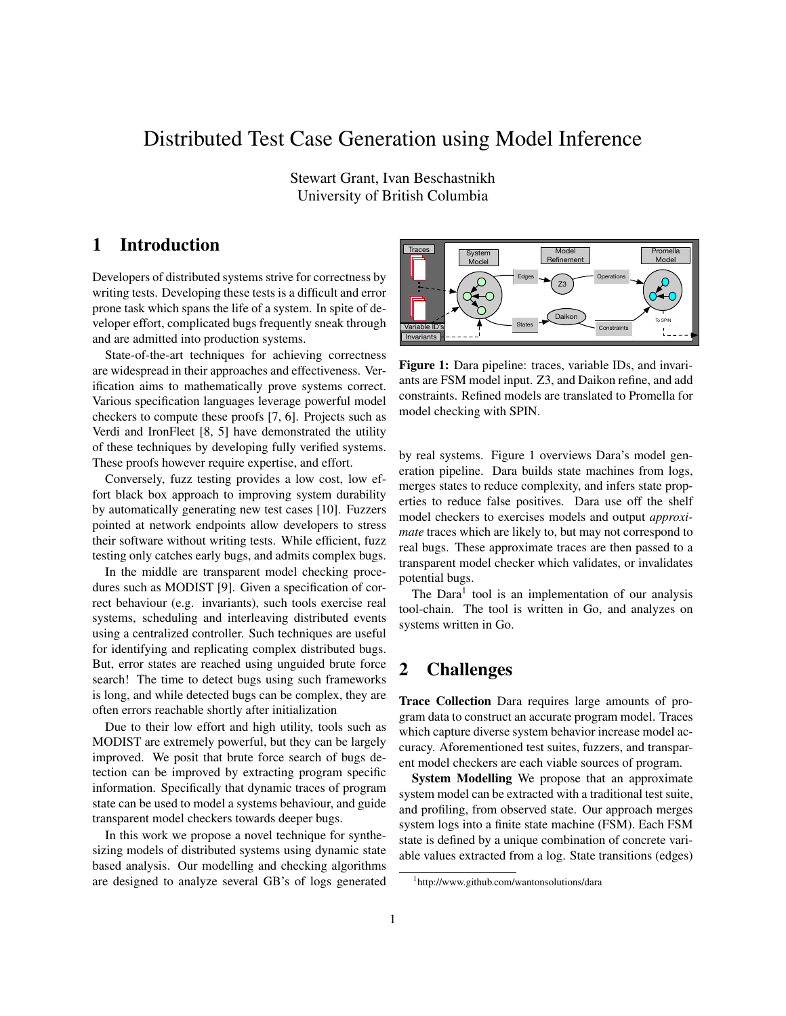# Distributed Test Case Generation using Model Inference

Stewart Grant, Ivan Beschastnikh University of British Columbia

### 1 Introduction

Developers of distributed systems strive for correctness by writing tests. Developing these tests is a difficult and error prone task which spans the life of a system. In spite of developer effort, complicated bugs frequently sneak through and are admitted into production systems.

State-of-the-art techniques for achieving correctness are widespread in their approaches and effectiveness. Verification aims to mathematically prove systems correct. Various specification languages leverage powerful model checkers to compute these proofs [7, 6]. Projects such as Verdi and IronFleet [8, 5] have demonstrated the utility of these techniques by developing fully verified systems. These proofs however require expertise, and effort.

Conversely, fuzz testing provides a low cost, low effort black box approach to improving system durability by automatically generating new test cases [10]. Fuzzers pointed at network endpoints allow developers to stress their software without writing tests. While efficient, fuzz testing only catches early bugs, and admits complex bugs.

In the middle are transparent model checking procedures such as MODIST [9]. Given a specification of correct behaviour (e.g. invariants), such tools exercise real systems, scheduling and interleaving distributed events using a centralized controller. Such techniques are useful for identifying and replicating complex distributed bugs. But, error states are reached using unguided brute force search! The time to detect bugs using such frameworks is long, and while detected bugs can be complex, they are often errors reachable shortly after initialization

Due to their low effort and high utility, tools such as MODIST are extremely powerful, but they can be largely improved. We posit that brute force search of bugs detection can be improved by extracting program specific information. Specifically that dynamic traces of program state can be used to model a systems behaviour, and guide transparent model checkers towards deeper bugs.

In this work we propose a novel technique for synthesizing models of distributed systems using dynamic state based analysis. Our modelling and checking algorithms are designed to analyze several GB's of logs generated



Figure 1: Dara pipeline: traces, variable IDs, and invariants are FSM model input. Z3, and Daikon refine, and add constraints. Refined models are translated to Promella for model checking with SPIN.

by real systems. Figure 1 overviews Dara's model generation pipeline. Dara builds state machines from logs, merges states to reduce complexity, and infers state properties to reduce false positives. Dara use off the shelf model checkers to exercises models and output *approximate* traces which are likely to, but may not correspond to real bugs. These approximate traces are then passed to a transparent model checker which validates, or invalidates potential bugs.

The Dara<sup>1</sup> tool is an implementation of our analysis tool-chain. The tool is written in Go, and analyzes on systems written in Go.

## 2 Challenges

Trace Collection Dara requires large amounts of program data to construct an accurate program model. Traces which capture diverse system behavior increase model accuracy. Aforementioned test suites, fuzzers, and transparent model checkers are each viable sources of program.

System Modelling We propose that an approximate system model can be extracted with a traditional test suite, and profiling, from observed state. Our approach merges system logs into a finite state machine (FSM). Each FSM state is defined by a unique combination of concrete variable values extracted from a log. State transitions (edges)

<sup>1</sup>http://www.github.com/wantonsolutions/dara